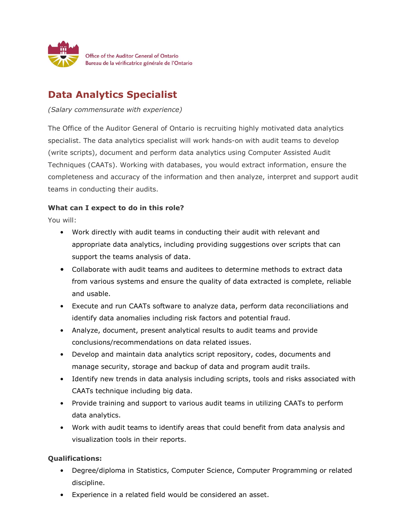

## **Data Analytics Specialist**

*(Salary commensurate with experience)*

The Office of the Auditor General of Ontario is recruiting highly motivated data analytics specialist. The data analytics specialist will work hands-on with audit teams to develop (write scripts), document and perform data analytics using Computer Assisted Audit Techniques (CAATs). Working with databases, you would extract information, ensure the completeness and accuracy of the information and then analyze, interpret and support audit teams in conducting their audits.

## **What can I expect to do in this role?**

You will:

- Work directly with audit teams in conducting their audit with relevant and appropriate data analytics, including providing suggestions over scripts that can support the teams analysis of data.
- Collaborate with audit teams and auditees to determine methods to extract data from various systems and ensure the quality of data extracted is complete, reliable and usable.
- Execute and run CAATs software to analyze data, perform data reconciliations and identify data anomalies including risk factors and potential fraud.
- Analyze, document, present analytical results to audit teams and provide conclusions/recommendations on data related issues.
- Develop and maintain data analytics script repository, codes, documents and manage security, storage and backup of data and program audit trails.
- Identify new trends in data analysis including scripts, tools and risks associated with CAATs technique including big data.
- Provide training and support to various audit teams in utilizing CAATs to perform data analytics.
- Work with audit teams to identify areas that could benefit from data analysis and visualization tools in their reports.

## **Qualifications:**

- Degree/diploma in Statistics, Computer Science, Computer Programming or related discipline.
- Experience in a related field would be considered an asset.